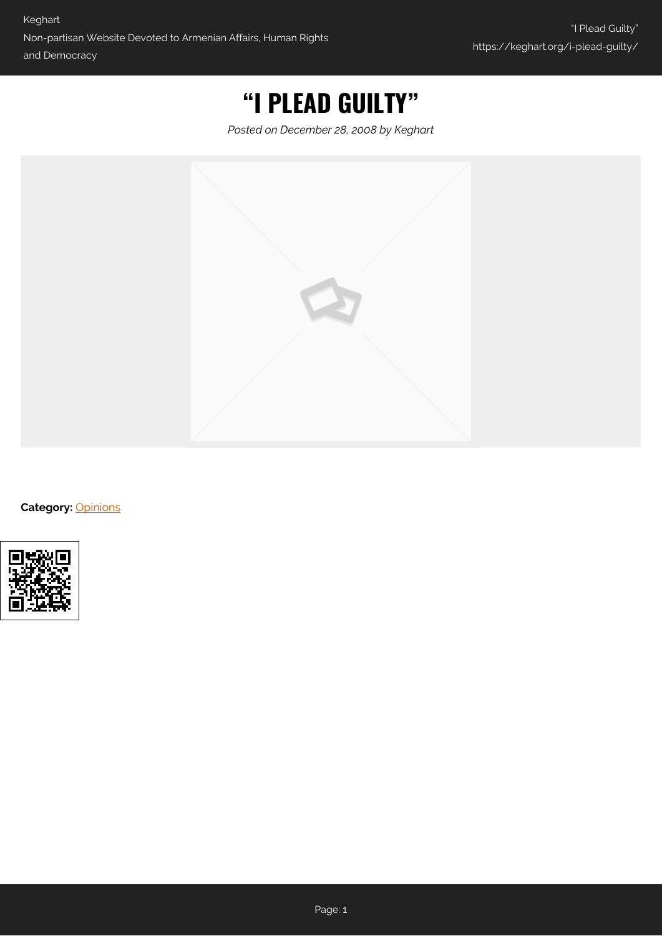## **"I PLEAD GUILTY"**

*Posted on December 28, 2008 by Keghart*



**Category:** [Opinions](https://keghart.org/category/opinions/)

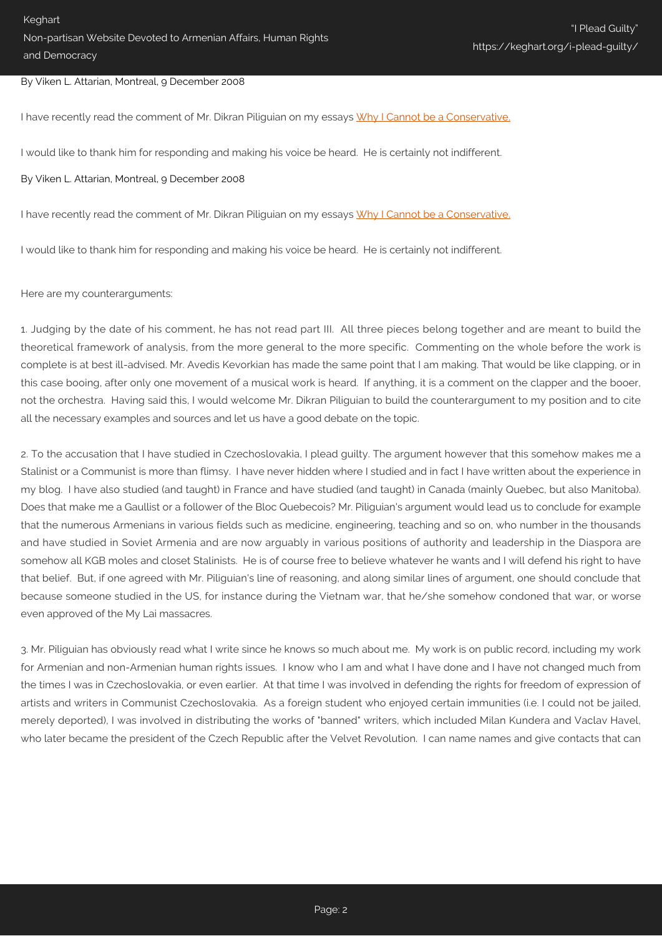## By Viken L. Attarian, Montreal, 9 December 2008

I have recently read the comment of Mr. Dikran Piliquian on my essays [Why I Cannot be a Conservative.](http://www.keghart.com/Attarian-Conservative#comment-19234)

I would like to thank him for responding and making his voice be heard. He is certainly not indifferent.

## By Viken L. Attarian, Montreal, 9 December 2008

I have recently read the comment of Mr. Dikran Piliquian on my essays [Why I Cannot be a Conservative.](http://www.keghart.com/Attarian-Conservative#comment-19234)

I would like to thank him for responding and making his voice be heard. He is certainly not indifferent.

## Here are my counterarguments:

1. Judging by the date of his comment, he has not read part III. All three pieces belong together and are meant to build the theoretical framework of analysis, from the more general to the more specific. Commenting on the whole before the work is complete is at best ill-advised. Mr. Avedis Kevorkian has made the same point that I am making. That would be like clapping, or in this case booing, after only one movement of a musical work is heard. If anything, it is a comment on the clapper and the booer, not the orchestra. Having said this, I would welcome Mr. Dikran Piliguian to build the counterargument to my position and to cite all the necessary examples and sources and let us have a good debate on the topic.

2. To the accusation that I have studied in Czechoslovakia, I plead guilty. The argument however that this somehow makes me a Stalinist or a Communist is more than flimsy. I have never hidden where I studied and in fact I have written about the experience in my blog. I have also studied (and taught) in France and have studied (and taught) in Canada (mainly Quebec, but also Manitoba). Does that make me a Gaullist or a follower of the Bloc Quebecois? Mr. Piliguian's argument would lead us to conclude for example that the numerous Armenians in various fields such as medicine, engineering, teaching and so on, who number in the thousands and have studied in Soviet Armenia and are now arguably in various positions of authority and leadership in the Diaspora are somehow all KGB moles and closet Stalinists. He is of course free to believe whatever he wants and I will defend his right to have that belief. But, if one agreed with Mr. Piliguian's line of reasoning, and along similar lines of argument, one should conclude that because someone studied in the US, for instance during the Vietnam war, that he/she somehow condoned that war, or worse even approved of the My Lai massacres.

3. Mr. Piliguian has obviously read what I write since he knows so much about me. My work is on public record, including my work for Armenian and non-Armenian human rights issues. I know who I am and what I have done and I have not changed much from the times I was in Czechoslovakia, or even earlier. At that time I was involved in defending the rights for freedom of expression of artists and writers in Communist Czechoslovakia. As a foreign student who enjoyed certain immunities (i.e. I could not be jailed, merely deported), I was involved in distributing the works of "banned" writers, which included Milan Kundera and Vaclav Havel, who later became the president of the Czech Republic after the Velvet Revolution. I can name names and give contacts that can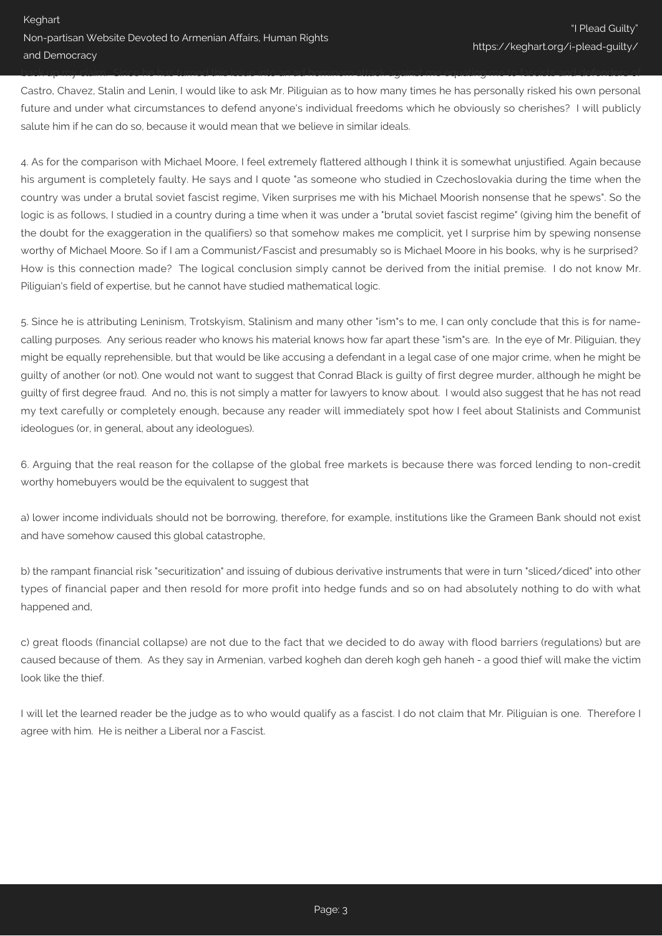Castro, Chavez, Stalin and Lenin, I would like to ask Mr. Piliguian as to how many times he has personally risked his own personal future and under what circumstances to defend anyone's individual freedoms which he obviously so cherishes? I will publicly salute him if he can do so, because it would mean that we believe in similar ideals.

back up my claim. Since he has turned this issue into an ad hominem attack against me equating me to fascists and defenders of

4. As for the comparison with Michael Moore, I feel extremely flattered although I think it is somewhat unjustified. Again because his argument is completely faulty. He says and I quote "as someone who studied in Czechoslovakia during the time when the country was under a brutal soviet fascist regime, Viken surprises me with his Michael Moorish nonsense that he spews". So the logic is as follows, I studied in a country during a time when it was under a "brutal soviet fascist regime" (giving him the benefit of the doubt for the exaggeration in the qualifiers) so that somehow makes me complicit, yet I surprise him by spewing nonsense worthy of Michael Moore. So if I am a Communist/Fascist and presumably so is Michael Moore in his books, why is he surprised? How is this connection made? The logical conclusion simply cannot be derived from the initial premise. I do not know Mr. Piliguian's field of expertise, but he cannot have studied mathematical logic.

5. Since he is attributing Leninism, Trotskyism, Stalinism and many other "ism"s to me, I can only conclude that this is for namecalling purposes. Any serious reader who knows his material knows how far apart these "ism"s are. In the eye of Mr. Piliguian, they might be equally reprehensible, but that would be like accusing a defendant in a legal case of one major crime, when he might be guilty of another (or not). One would not want to suggest that Conrad Black is guilty of first degree murder, although he might be guilty of first degree fraud. And no, this is not simply a matter for lawyers to know about. I would also suggest that he has not read my text carefully or completely enough, because any reader will immediately spot how I feel about Stalinists and Communist ideologues (or, in general, about any ideologues).

6. Arguing that the real reason for the collapse of the global free markets is because there was forced lending to non-credit worthy homebuyers would be the equivalent to suggest that

a) lower income individuals should not be borrowing, therefore, for example, institutions like the Grameen Bank should not exist and have somehow caused this global catastrophe,

b) the rampant financial risk "securitization" and issuing of dubious derivative instruments that were in turn "sliced/diced" into other types of financial paper and then resold for more profit into hedge funds and so on had absolutely nothing to do with what happened and,

c) great floods (financial collapse) are not due to the fact that we decided to do away with flood barriers (regulations) but are caused because of them. As they say in Armenian, varbed kogheh dan dereh kogh geh haneh - a good thief will make the victim look like the thief.

I will let the learned reader be the judge as to who would qualify as a fascist. I do not claim that Mr. Piliguian is one. Therefore I agree with him. He is neither a Liberal nor a Fascist.